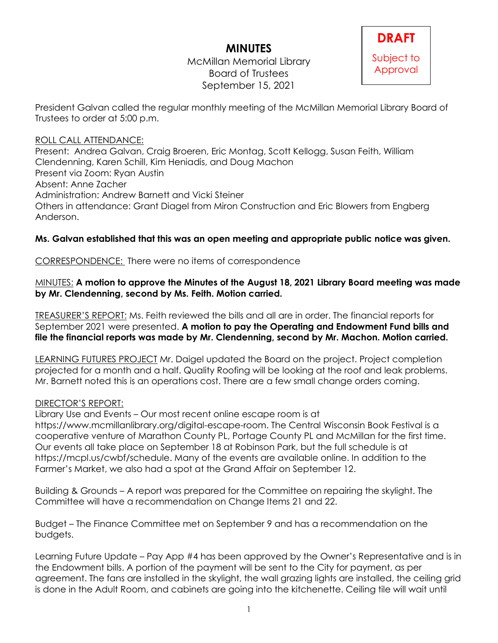# **MINUTES**

McMillan Memorial Library Board of Trustees September 15, 2021



President Galvan called the regular monthly meeting of the McMillan Memorial Library Board of Trustees to order at 5:00 p.m.

### ROLL CALL ATTENDANCE:

Present: Andrea Galvan, Craig Broeren, Eric Montag, Scott Kellogg, Susan Feith, William Clendenning, Karen Schill, Kim Heniadis, and Doug Machon Present via Zoom: Ryan Austin Absent: Anne Zacher Administration: Andrew Barnett and Vicki Steiner Others in attendance: Grant Diagel from Miron Construction and Eric Blowers from Engberg Anderson.

## **Ms. Galvan established that this was an open meeting and appropriate public notice was given.**

CORRESPONDENCE: There were no items of correspondence

#### MINUTES: **A motion to approve the Minutes of the August 18, 2021 Library Board meeting was made by Mr. Clendenning, second by Ms. Feith. Motion carried.**

TREASURER'S REPORT: Ms. Feith reviewed the bills and all are in order. The financial reports for September 2021 were presented. **A motion to pay the Operating and Endowment Fund bills and file the financial reports was made by Mr. Clendenning, second by Mr. Machon. Motion carried.**

LEARNING FUTURES PROJECT Mr. Daigel updated the Board on the project. Project completion projected for a month and a half. Quality Roofing will be looking at the roof and leak problems. Mr. Barnett noted this is an operations cost. There are a few small change orders coming.

#### DIRECTOR'S REPORT:

Library Use and Events – Our most recent online escape room is at

https://www.mcmillanlibrary.org/digital-escape-room. The Central Wisconsin Book Festival is a cooperative venture of Marathon County PL, Portage County PL and McMillan for the first time. Our events all take place on September 18 at Robinson Park, but the full schedule is at https://mcpl.us/cwbf/schedule. Many of the events are available online. In addition to the Farmer's Market, we also had a spot at the Grand Affair on September 12.

Building & Grounds – A report was prepared for the Committee on repairing the skylight. The Committee will have a recommendation on Change Items 21 and 22.

Budget – The Finance Committee met on September 9 and has a recommendation on the budgets.

Learning Future Update – Pay App #4 has been approved by the Owner's Representative and is in the Endowment bills. A portion of the payment will be sent to the City for payment, as per agreement. The fans are installed in the skylight, the wall grazing lights are installed, the ceiling grid is done in the Adult Room, and cabinets are going into the kitchenette. Ceiling tile will wait until